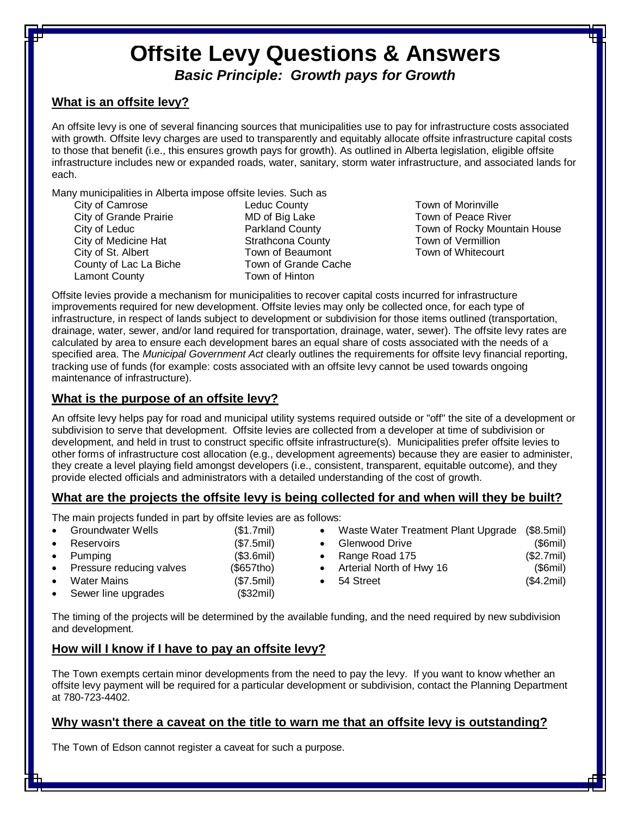# **Offsite Levy Questions & Answers** *Basic Principle: Growth pays for Growth*

## **What is an offsite levy?**

An offsite levy is one of several financing sources that municipalities use to pay for infrastructure costs associated with growth. Offsite levy charges are used to transparently and equitably allocate offsite infrastructure capital costs to those that benefit (i.e., this ensures growth pays for growth). As outlined in Alberta legislation, eligible offsite infrastructure includes new or expanded roads, water, sanitary, storm water infrastructure, and associated lands for each.

Many municipalities in Alberta impose offsite levies. Such as

- City of Camrose City of Grande Prairie City of Leduc City of Medicine Hat City of St. Albert County of Lac La Biche Lamont County
- Leduc County MD of Big Lake Parkland County Strathcona County Town of Beaumont Town of Grande Cache Town of Hinton
- Town of Morinville Town of Peace River Town of Rocky Mountain House Town of Vermillion Town of Whitecourt

Offsite levies provide a mechanism for municipalities to recover capital costs incurred for infrastructure improvements required for new development. Offsite levies may only be collected once, for each type of infrastructure, in respect of lands subject to development or subdivision for those items outlined (transportation, drainage, water, sewer, and/or land required for transportation, drainage, water, sewer). The offsite levy rates are calculated by area to ensure each development bares an equal share of costs associated with the needs of a specified area. The *Municipal Government Act* clearly outlines the requirements for offsite levy financial reporting, tracking use of funds (for example: costs associated with an offsite levy cannot be used towards ongoing maintenance of infrastructure).

## **What is the purpose of an offsite levy?**

An offsite levy helps pay for road and municipal utility systems required outside or "off" the site of a development or subdivision to serve that development. Offsite levies are collected from a developer at time of subdivision or development, and held in trust to construct specific offsite infrastructure(s). Municipalities prefer offsite levies to other forms of infrastructure cost allocation (e.g., development agreements) because they are easier to administer, they create a level playing field amongst developers (i.e., consistent, transparent, equitable outcome), and they provide elected officials and administrators with a detailed understanding of the cost of growth.

# **What are the projects the offsite levy is being collected for and when will they be built?**

The main projects funded in part by offsite levies are as follows:

|           | • Groundwater Wells        | (\$1.7mil) | Waste Water Treatment Plant Upgrade (\$8.5mil) |            |
|-----------|----------------------------|------------|------------------------------------------------|------------|
|           | • Reservoirs               | (\$7.5mil) | Glenwood Drive                                 | (\$6mi)    |
|           | $\bullet$ Pumpina          | (\$3.6mil) | • Range Road 175                               | (\$2.7mil) |
|           | • Pressure reducing valves | (\$657tho) | • Arterial North of Hwy 16                     | (\$6mi)    |
| $\bullet$ | Water Mains                | (\$7.5mil) | 54 Street                                      | (\$4.2mil) |
|           | • Sewer line upgrades      | (\$32mil)  |                                                |            |

The timing of the projects will be determined by the available funding, and the need required by new subdivision and development.

# **How will I know if I have to pay an offsite levy?**

The Town exempts certain minor developments from the need to pay the levy. If you want to know whether an offsite levy payment will be required for a particular development or subdivision, contact the Planning Department at 780-723-4402.

## **Why wasn't there a caveat on the title to warn me that an offsite levy is outstanding?**

The Town of Edson cannot register a caveat for such a purpose.